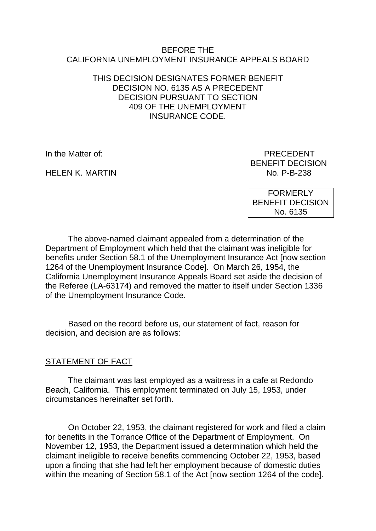#### BEFORE THE CALIFORNIA UNEMPLOYMENT INSURANCE APPEALS BOARD

## THIS DECISION DESIGNATES FORMER BENEFIT DECISION NO. 6135 AS A PRECEDENT DECISION PURSUANT TO SECTION 409 OF THE UNEMPLOYMENT INSURANCE CODE.

HELEN K. MARTIN NO. P-B-238

In the Matter of: PRECEDENT BENEFIT DECISION

> FORMERLY BENEFIT DECISION No. 6135

The above-named claimant appealed from a determination of the Department of Employment which held that the claimant was ineligible for benefits under Section 58.1 of the Unemployment Insurance Act [now section 1264 of the Unemployment Insurance Code]. On March 26, 1954, the California Unemployment Insurance Appeals Board set aside the decision of the Referee (LA-63174) and removed the matter to itself under Section 1336 of the Unemployment Insurance Code.

Based on the record before us, our statement of fact, reason for decision, and decision are as follows:

# **STATEMENT OF FACT**

The claimant was last employed as a waitress in a cafe at Redondo Beach, California. This employment terminated on July 15, 1953, under circumstances hereinafter set forth.

On October 22, 1953, the claimant registered for work and filed a claim for benefits in the Torrance Office of the Department of Employment. On November 12, 1953, the Department issued a determination which held the claimant ineligible to receive benefits commencing October 22, 1953, based upon a finding that she had left her employment because of domestic duties within the meaning of Section 58.1 of the Act [now section 1264 of the code].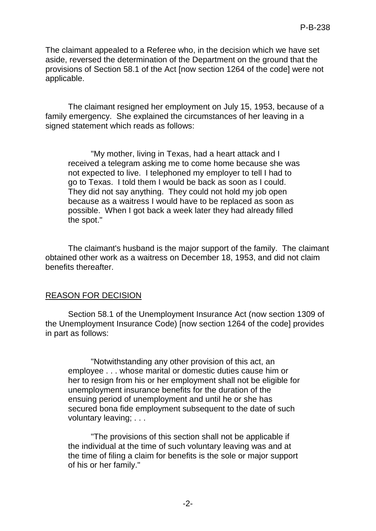The claimant appealed to a Referee who, in the decision which we have set aside, reversed the determination of the Department on the ground that the provisions of Section 58.1 of the Act [now section 1264 of the code] were not applicable.

The claimant resigned her employment on July 15, 1953, because of a family emergency. She explained the circumstances of her leaving in a signed statement which reads as follows:

"My mother, living in Texas, had a heart attack and I received a telegram asking me to come home because she was not expected to live. I telephoned my employer to tell I had to go to Texas. I told them I would be back as soon as I could. They did not say anything. They could not hold my job open because as a waitress I would have to be replaced as soon as possible. When I got back a week later they had already filled the spot."

The claimant's husband is the major support of the family. The claimant obtained other work as a waitress on December 18, 1953, and did not claim benefits thereafter.

### REASON FOR DECISION

Section 58.1 of the Unemployment Insurance Act (now section 1309 of the Unemployment Insurance Code) [now section 1264 of the code] provides in part as follows:

"Notwithstanding any other provision of this act, an employee . . . whose marital or domestic duties cause him or her to resign from his or her employment shall not be eligible for unemployment insurance benefits for the duration of the ensuing period of unemployment and until he or she has secured bona fide employment subsequent to the date of such voluntary leaving; . . .

"The provisions of this section shall not be applicable if the individual at the time of such voluntary leaving was and at the time of filing a claim for benefits is the sole or major support of his or her family."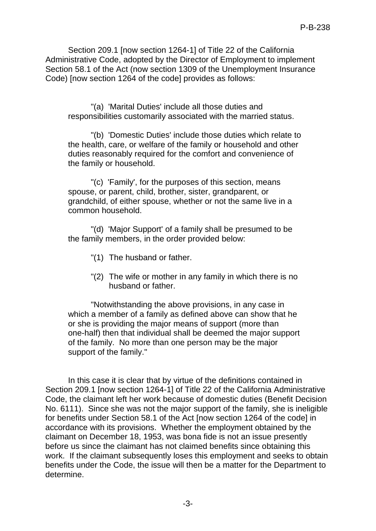Section 209.1 [now section 1264-1] of Title 22 of the California Administrative Code, adopted by the Director of Employment to implement Section 58.1 of the Act (now section 1309 of the Unemployment Insurance Code) [now section 1264 of the code] provides as follows:

"(a) 'Marital Duties' include all those duties and responsibilities customarily associated with the married status.

"(b) 'Domestic Duties' include those duties which relate to the health, care, or welfare of the family or household and other duties reasonably required for the comfort and convenience of the family or household.

"(c) 'Family', for the purposes of this section, means spouse, or parent, child, brother, sister, grandparent, or grandchild, of either spouse, whether or not the same live in a common household.

"(d) 'Major Support' of a family shall be presumed to be the family members, in the order provided below:

- "(1) The husband or father.
- "(2) The wife or mother in any family in which there is no husband or father.

"Notwithstanding the above provisions, in any case in which a member of a family as defined above can show that he or she is providing the major means of support (more than one-half) then that individual shall be deemed the major support of the family. No more than one person may be the major support of the family."

In this case it is clear that by virtue of the definitions contained in Section 209.1 [now section 1264-1] of Title 22 of the California Administrative Code, the claimant left her work because of domestic duties (Benefit Decision No. 6111). Since she was not the major support of the family, she is ineligible for benefits under Section 58.1 of the Act [now section 1264 of the code] in accordance with its provisions. Whether the employment obtained by the claimant on December 18, 1953, was bona fide is not an issue presently before us since the claimant has not claimed benefits since obtaining this work. If the claimant subsequently loses this employment and seeks to obtain benefits under the Code, the issue will then be a matter for the Department to determine.